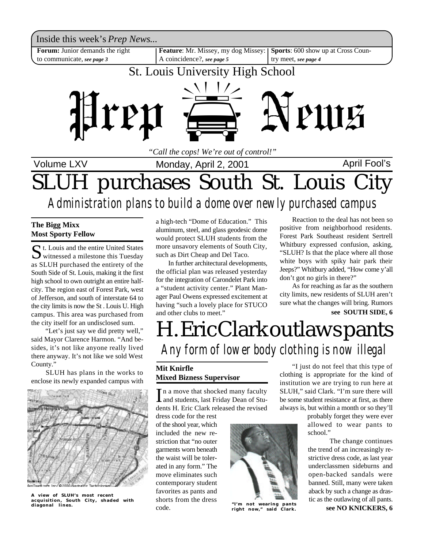

## SLUH purchases South St. Louis City *Administration plans to build a dome over newly purchased campus*

#### **The Bigg Mixx Most Sporty Fellow**

St. Louis and the entire United States<br>
witnessed a milestone this Tuesday t. Louis and the entire United States as SLUH purchased the entirety of the South Side of St. Louis, making it the first high school to own outright an entire halfcity. The region east of Forest Park, west of Jefferson, and south of interstate 64 to the city limits is now the St . Louis U. High campus. This area was purchased from the city itself for an undisclosed sum.

 "Let's just say we did pretty well," said Mayor Clarence Harmon. "And besides, it's not like anyone really lived there anyway. It's not like we sold West County."

 SLUH has plans in the works to enclose its newly expanded campus with



**A view of SLUH's most recent acquisition, South City, shaded with diagonal lines.**

a high-tech "Dome of Education." This aluminum, steel, and glass geodesic dome would protect SLUH students from the more unsavory elements of South City, such as Dirt Cheap and Del Taco.

In further architectural developments, the official plan was released yesterday for the integration of Carondelet Park into a "student activity center." Plant Manager Paul Owens expressed excitement at having "such a lovely place for STUCO and other clubs to meet."

Reaction to the deal has not been so positive from neighborhood residents. Forest Park Southeast resident Sertrell Whitbury expressed confusion, asking, "SLUH? Is that the place where all those white boys with spiky hair park their Jeeps?" Whitbury added, "How come y'all don't got no girls in there?"

As for reaching as far as the southern city limits, new residents of SLUH aren't sure what the changes will bring. Rumors **see SOUTH SIDE, 6**

## H. Eric Clark outlaws pants *Any form of lower body clothing is now illegal*

### **Mit Knirfle Mixed Bizness Supervisor**

In a move that shocked many faculty<br>and students, last Friday Dean of Stuand students, last Friday Dean of Students H. Eric Clark released the revised

dress code for the rest of the shool year, which included the new restriction that "no outer garments worn beneath the waist will be tolerated in any form." The move eliminates such contemporary student favorites as pants and shorts from the dress code.



**"I'm not wearing pants right now," said Clark.**

"I just do not feel that this type of clothing is appropriate for the kind of institution we are trying to run here at SLUH," said Clark. "I'm sure there will be some student resistance at first, as there always is, but within a month or so they'll

> probably forget they were ever allowed to wear pants to school."

The change continues the trend of an increasingly restrictive dress code, as last year underclassmen sideburns and open-backed sandals were banned. Still, many were taken aback by such a change as drastic as the outlawing of all pants.

**see NO KNICKERS, 6**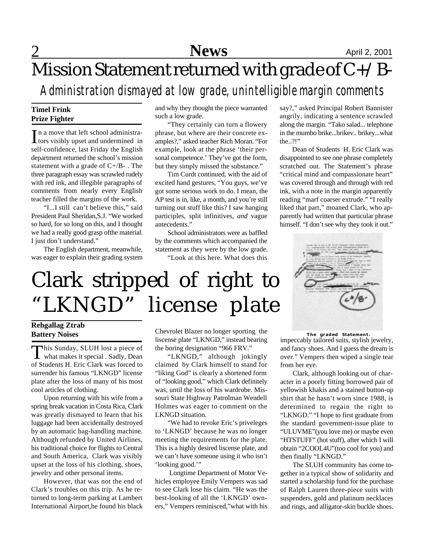## Mission Statement returned with grade of C+/B-

### *Administration dismayed at low grade, unintelligible margin comments*

#### **Timel Frink Prize Fighter**

In a move that left school administra-<br>tors visibly upset and undermined in n a move that left school administraself-confidence, last Friday the English department returned the school's mission statement with a grade of  $C+/B-$ . The three paragraph essay was scrawled rudely with red ink, and illegible paragraphs of comments from nearly every English teacher filled the margins of the work.

"I...I still can't believe this," said President Paul Sheridan,S.J. "We worked so hard, for so long on this, and I thought we had a really good grasp ofthe material. I just don't understand."

The English department, meanwhile, was eager to explain their grading system

and why they thought the piece warranted such a low grade.

"They certainly can turn a flowery phrase, but where are their concrete examples?," asked teacher Rich Moran. "For example, look at the phrase 'their personal competence.' They've got the form, but they simply missed the substance."

Tim Curdt continued, with the aid of excited hand gestures, "You guys, we've got some serious work to do. I mean, the AP test is in, like, a month, and you're still turning out stuff like this? I saw hanging participles, split infinitives, *and* vague antecedents."

School administrators were as baffled by the comments which accompanied the statement as they were by the low grade.

"Look at this here. What does this

say?," asked Principal Robert Bannister angrily, indicating a sentence scrawled along the margin. "Tako salad... telephone in the mumbo brike...brikev.. brikey...what the..?!"

Dean of Students H. Eric Clark was disappointed to see one phrase completely scratched out. The Statement's phrase "critical mind and compassionate heart" was covered through and through with red ink, with a note in the margin apparently reading "marf coarser extrude." "I really liked that part," moaned Clark, who apparently had written that particular phrase himself. "I don't see why they took it out."



# Clark stripped of right to "LKNGD" license plate

### **Rehgallag Ztrab Battery Noises**

This Sunday, SLUH lost a piece of<br>what makes it special . Sadly, Dean his Sunday, SLUH lost a piece of of Students H. Eric Clark was forced to surrender his famous "LKNGD" license plate after the loss of many of his most cool articles of clothing.

Upon returning with his wife from a spring break vacation in Costa Rica, Clark was greatly dismayed to learn that his luggage had been accidentally destroyed by an automatic bag-handling machine. Although refunded by United Airlines, his traditional choice for flights to Central and South America, Clark was visibly upset at the loss of his clothing, shoes, jewelry and other personal items.

However, that was not the end of Clark's troubles on this trip. As he returned to long-term parking at Lambert International Airport,he found his black

Chevrolet Blazer no longer sporting the liscense plate "LKNGD," instead bearing the boring designation "966 FRV."

"LKNGD," although jokingly claimed by Clark himself to stand for "liking God" is clearly a shortened form of "looking good," which Clark definitely was, until the loss of his wardrobe. Missouri State Highway Patrolman Wendell Holmes was eager to comment on the LKNGD situation.

"We had to revoke Eric's priveleges to 'LKNGD' because he was no longer meeting the requirements for the plate. This is a highly desired liscense plate, and we can't have someone using it who isn't 'looking good.'"

 Longtime Department of Motor Vehicles employee Emily Vempers was sad to see Clark lose his claim. "He was the best-looking of all the 'LKNGD' owners," Vempers reminisced,"what with his

impeccably tailored suits, stylish jewelry, and fancy shoes. And I guess the dream is **The graded Statement.**

over." Vempers then wiped a single tear from her eye. Clark, although looking out of char-

acter in a poorly fitting borrowed pair of yellowish khakis and a stained button-up shirt that he hasn't worn since 1988, is determined to regain the right to "LKNGD." "I hope to first graduate from the standard government-issue plate to "ULUVME"(you love me) or maybe even "HTSTUFF" (hot stuff), after which I will obtain "2COOL4U"(too cool for you) and then finally "LKNGD."

The SLUH community has come together in a typical show of solidarity and started a scholarship fund for the purchase of Ralph Lauren three-piece suits with suspenders, gold and platinum necklaces and rings, and alligator-skin buckle shoes.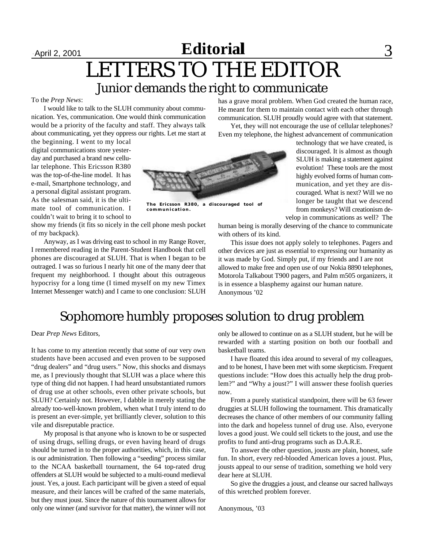### $\text{B}\left(\text{A}\right)$  2, 2001 **Editorial** 3 Junior demands the right to communicate LETTERS TO THE EDITOR

#### To the *Prep News*:

I would like to talk to the SLUH community about communication. Yes, communication. One would think communication would be a priority of the faculty and staff. They always talk about communicating, yet they oppress our rights. Let me start at

the beginning. I went to my local digital communications store yesterday and purchased a brand new cellular telephone. This Ericsson R380 was the top-of-the-line model. It has e-mail, Smartphone technology, and a personal digital assistant program. As the salesman said, it is the ultimate tool of communication. I couldn't wait to bring it to school to

show my friends (it fits so nicely in the cell phone mesh pocket of my backpack).

Anyway, as I was driving east to school in my Range Rover, I remembered reading in the Parent-Student Handbook that cell phones are discouraged at SLUH. That is when I began to be outraged. I was so furious I nearly hit one of the many deer that frequent my neighborhood. I thought about this outrageous hypocrisy for a long time (I timed myself on my new Timex Internet Messenger watch) and I came to one conclusion: SLUH

has a grave moral problem. When God created the human race, He meant for them to maintain contact with each other through communication. SLUH proudly would agree with that statement.

Yet, they will not encourage the use of cellular telephones? Even my telephone, the highest advancement of communication



**The Ericsson R380, a discouraged tool of communication.**

technology that we have created, is discouraged. It is almost as though SLUH is making a statement against evolution! These tools are the most highly evolved forms of human communication, and yet they are discouraged. What is next? Will we no longer be taught that we descend from monkeys? Will creationism de-

velop in communications as well? The human being is morally deserving of the chance to communicate with others of its kind.

This issue does not apply solely to telephones. Pagers and other devices are just as essential to expressing our humanity as it was made by God. Simply put, if my friends and I are not allowed to make free and open use of our Nokia 8890 telephones, Motorola Talkabout T900 pagers, and Palm m505 organizers, it is in essence a blasphemy against our human nature. Anonymous '02

### Sophomore humbly proposes solution to drug problem

Dear *Prep News* Editors,

It has come to my attention recently that some of our very own students have been accused and even proven to be supposed "drug dealers" and "drug users." Now, this shocks and dismays me, as I previously thought that SLUH was a place where this type of thing did not happen. I had heard unsubstantiated rumors of drug use at other schools, even other private schools, but SLUH? Certainly not. However, I dabble in merely stating the already too-well-known problem, when what I truly intend to do is present an ever-simple, yet brilliantly clever, solution to this vile and disreputable practice.

My proposal is that anyone who is known to be or suspected of using drugs, selling drugs, or even having heard of drugs should be turned in to the proper authorities, which, in this case, is our administration. Then following a "seeding" process similar to the NCAA basketball tournament, the 64 top-rated drug offenders at SLUH would be subjected to a multi-round medieval joust. Yes, a joust. Each participant will be given a steed of equal measure, and their lances will be crafted of the same materials, but they must joust. Since the nature of this tournament allows for only one winner (and survivor for that matter), the winner will not only be allowed to continue on as a SLUH student, but he will be rewarded with a starting position on both our football and basketball teams.

I have floated this idea around to several of my colleagues, and to be honest, I have been met with some skepticism. Frequent questions include: "How does this actually help the drug problem?" and "Why a joust?" I will answer these foolish queries now.

From a purely statistical standpoint, there will be 63 fewer druggies at SLUH following the tournament. This dramatically decreases the chance of other members of our community falling into the dark and hopeless tunnel of drug use. Also, everyone loves a good joust. We could sell tickets to the joust, and use the profits to fund anti-drug programs such as D.A.R.E.

To answer the other question, jousts are plain, honest, safe fun. In short, every red-blooded American loves a joust. Plus, jousts appeal to our sense of tradition, something we hold very dear here at SLUH.

So give the druggies a joust, and cleanse our sacred hallways of this wretched problem forever.

Anonymous, '03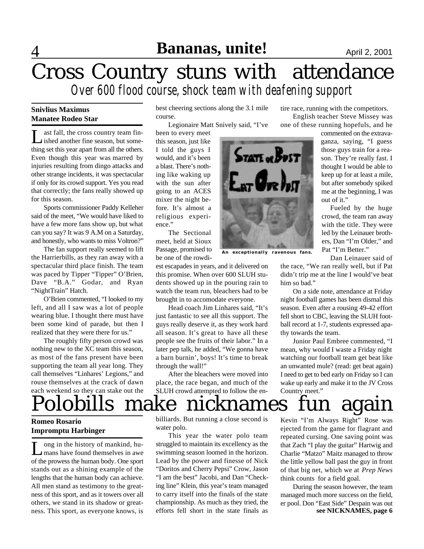## 4 **Bananas, unite!** April 2, 2001

### Cross Country stuns with attendance *Over 600 flood course, shock team with deafening support*

#### **Snivlius Maximus Manatee Rodeo Star**

Let fall, the cross country team fin-<br>ished another fine season, but someast fall, the cross country team finthing set this year apart from all the others. Even though this year was marred by injuries resulting from dingo attacks and other strange incidents, it was spectacular if only for its crowd support. Yes you read that correctly; the fans really showed up for this season.

Sports commissioner Paddy Kelleher said of the meet, "We would have liked to have a few more fans show up, but what can you say? It was 9 A.M on a Saturday, and honestly, who wants to miss Voltron?"

The fan support really seemed to lift the Harrierbills, as they ran away with a spectacular third place finish. The team was paced by Tipper "Tipper" O'Brien, Dave "B.A." Godar, and Ryan "NightTrain" Hatch.

O'Brien commented, "I looked to my left, and all I saw was a lot of people wearing blue. I thought there must have been some kind of parade, but then I realized that they were there for us."

The roughly fifty person crowd was nothing new to the XC team this season, as most of the fans present have been supporting the team all year long. They call themselves "Linhares' Legions," and rouse themselves at the crack of dawn each weekend so they can stake out the best cheering sections along the 3.1 mile course.

Legionaire Matt Snively said, "I've

been to every meet this season, just like I told the guys I would, and it's been a blast. There's nothing like waking up with the sun after going to an ACES mixer the night before. It's almost a religious experience."

The Sectional meet, held at Sioux Passage, promised to be one of the rowdi-

est escapades in years, and it delivered on this promise. When over 600 SLUH students showed up in the pouring rain to watch the team run, bleachers had to be brought in to accomodate everyone.

Head coach Jim Linhares said, "It's just fantastic to see all this support. The guys really deserve it, as they work hard all season. It's great to have all these people see the fruits of their labor." In a later pep talk, he added, "We gonna have a barn burnin', boys! It's time to break through the wall!"

After the bleachers were moved into place, the race began, and much of the SLUH crowd attempted to follow the en-



**An exceptionally ravenous fans.**

tire race, running with the competitors.

English teacher Steve Missey was one of these running hopefuls, and he

> commented on the extravaganza, saying, "I guess those guys train for a reason. They're really fast. I thought I would be able to keep up for at least a mile, but after somebody spiked me at the beginning, I was out of it."

> Fueled by the huge crowd, the team ran away with the title. They were led by the Leinauer brothers, Dan "I'm Older," and Pat "I'm Better."

> Dan Leinauer said of

the race, "We ran really well, but if Pat didn't trip me at the line I would've beat him so bad."

On a side note, attendance at Friday night football games has been dismal this season. Even after a rousing 49-42 effort fell short to CBC, leaving the SLUH football record at 1-7, students expressed apathy towards the team.

Junior Paul Embree commented, "I mean, why would I waste a Friday night watching our football team get beat like an unwanted mule? (read: get beat again) I need to get to bed early on Friday so I can wake up early and make it to the JV Cross Country meet."

## Polobills make nicknames fun again

### **Romeo Rosario Impromptu Harbinger**

L ong in the history of mankind, humans have found themselves in awe of the prowess the human body. One sport stands out as a shining example of the lengths that the human body can achieve. All men stand as testimony to the greatness of this sport, and as it towers over all others, we stand in its shadow or greatness. This sport, as everyone knows, is

billiards. But running a close second is water polo.

This year the water polo team struggled to maintain its excellency as the swimming season loomed in the horizon. Lead by the power and finesse of Nick "Doritos and Cherry Pepsi" Crow, Jason "I am the best" Jacobi, and Dan "Checking line" Klein, this year's team managed to carry itself into the finals of the state championship. As much as they tried, the efforts fell short in the state finals as

Kevin "I'm Always Right" Rose was ejected from the game for flagrant and repeated cursing. One saving point was that Zach "I play the guitar" Hartwig and Charlie "Matzo" Maitz managed to throw the little yellow ball past the guy in front of that big net, which we at *Prep News* think counts for a field goal.

During the season however, the team managed much more success on the field, er pool. Don "East Side" Despain was out **see NICKNAMES, page 6**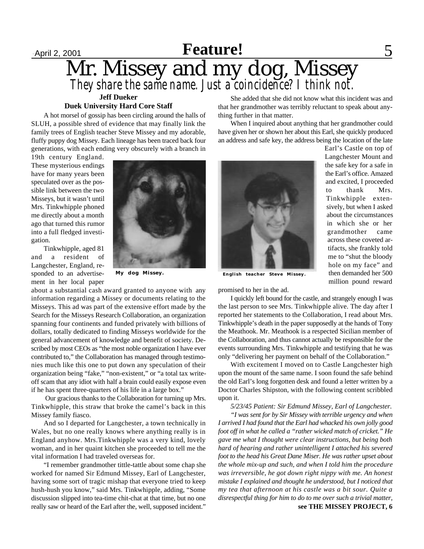### April 2, 2001 **Feature!** September 2001 Mr. Missey and my dog, Missey *They share the same name. Just a coincidence? I think not.* **Feature Feature!**

#### **Jeff Dueker Duek University Hard Core Staff**

A hot morsel of gossip has been circling around the halls of SLUH, a possible shred of evidence that may finally link the family trees of English teacher Steve Missey and my adorable, fluffy puppy dog Missey. Each lineage has been traced back four generations, with each ending very obscurely with a branch in

19th century England. These mysterious endings have for many years been speculated over as the possible link between the two Misseys, but it wasn't until Mrs. Tinkwhipple phoned me directly about a month ago that turned this rumor into a full fledged investigation.

Tinkwhipple, aged 81 and a resident of Langchester, England, responded to an advertisement in her local paper



about a substantial cash award granted to anyone with any information regarding a Missey or documents relating to the Misseys. This ad was part of the extensive effort made by the Search for the Misseys Research Collaboration, an organization spanning four continents and funded privately with billions of dollars, totally dedicated to finding Misseys worldwide for the general advancement of knowledge and benefit of society. Described by most CEOs as "the most noble organization I have ever contributed to," the Collaboration has managed through testimonies much like this one to put down any speculation of their organization being "fake," "non-existent," or "a total tax writeoff scam that any idiot with half a brain could easily expose even if he has spent three-quarters of his life in a large box."

 Our gracious thanks to the Collaboration for turning up Mrs. Tinkwhipple, this straw that broke the camel's back in this Missey family fiasco.

And so I departed for Langchester, a town technically in Wales, but no one really knows where anything really is in England anyhow. Mrs.Tinkwhipple was a very kind, lovely woman, and in her quaint kitchen she proceeded to tell me the vital information I had traveled overseas for.

"I remember grandmother tittle-tattle about some chap she worked for named Sir Edmund Missey, Earl of Langchester, having some sort of tragic mishap that everyone tried to keep hush-hush you know," said Mrs. Tinkwhipple, adding, "Some discussion slipped into tea-time chit-chat at that time, but no one really saw or heard of the Earl after the, well, supposed incident."

She added that she did not know what this incident was and that her grandmother was terribly reluctant to speak about anything further in that matter.

When I inquired about anything that her grandmother could have given her or shown her about this Earl, she quickly produced an address and safe key, the address being the location of the late



**My dog Missey. English teacher Steve Missey.**

promised to her in the ad.

I quickly left bound for the castle, and strangely enough I was the last person to see Mrs. Tinkwhipple alive. The day after I reported her statements to the Collaboration, I read about Mrs. Tinkwhipple's death in the paper supposedly at the hands of Tony the Meathook. Mr. Meathook is a respected Sicilian member of the Collaboration, and thus cannot actually be responsible for the events surrounding Mrs. Tinkwhipple and testifying that he was only "delivering her payment on behalf of the Collaboration."

With excitement I moved on to Castle Langchester high upon the mount of the same name. I soon found the safe behind the old Earl's long forgotten desk and found a letter written by a Doctor Charles Shipston, with the following content scribbled upon it.

*5/23/45 Patient: Sir Edmund Missey, Earl of Langchester. "I was sent for by Sir Missey with terrible urgency and when I arrived I had found that the Earl had whacked his own jolly good foot off in what he called a "rather wicked match of cricket." He gave me what I thought were clear instructions, but being both hard of hearing and rather unintelligent I attached his severed foot to the head his Great Dane Miser. He was rather upset about the whole mix-up and such, and when I told him the procedure was irreversible, he got down right nippy with me. An honest mistake I explained and thought he understood, but I noticed that my tea that afternoon at his castle was a bit sour. Quite a disrespectful thing for him to do to me over such a trivial matter,* **see THE MISSEY PROJECT, 6**

Earl's Castle on top of Langchester Mount and the safe key for a safe in the Earl's office. Amazed and excited, I proceeded to thank Mrs. Tinkwhipple extensively, but when I asked about the circumstances in which she or her grandmother came across these coveted artifacts, she frankly told me to "shut the bloody hole on my face" and then demanded her 500 million pound reward